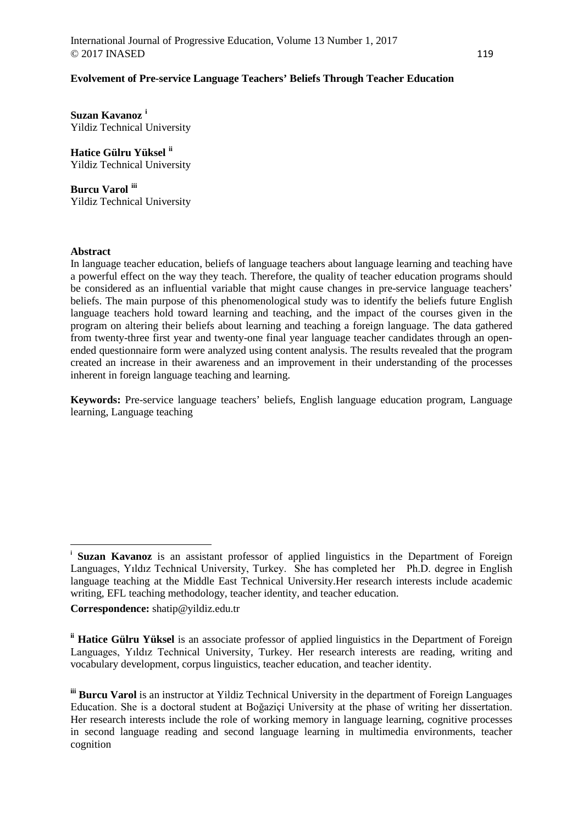## **Evolvement of Pre-service Language Teachers' Beliefs Through Teacher Education**

**Suzan Kavanoz [i](#page-0-0)** Yildiz Technical University

**Hatice Gülru Yüksel [ii](#page-0-1)** Yildiz Technical University

**Burcu Varol [iii](#page-0-2)** Yildiz Technical University

## **Abstract**

 $\overline{a}$ 

In language teacher education, beliefs of language teachers about language learning and teaching have a powerful effect on the way they teach. Therefore, the quality of teacher education programs should be considered as an influential variable that might cause changes in pre-service language teachers' beliefs. The main purpose of this phenomenological study was to identify the beliefs future English language teachers hold toward learning and teaching, and the impact of the courses given in the program on altering their beliefs about learning and teaching a foreign language. The data gathered from twenty-three first year and twenty-one final year language teacher candidates through an openended questionnaire form were analyzed using content analysis. The results revealed that the program created an increase in their awareness and an improvement in their understanding of the processes inherent in foreign language teaching and learning.

**Keywords:** Pre-service language teachers' beliefs, English language education program, Language learning, Language teaching

**Correspondence:** shatip@yildiz.edu.tr

<span id="page-0-0"></span>**Suzan Kavanoz** is an assistant professor of applied linguistics in the Department of Foreign Languages, Yıldız Technical University, Turkey. She has completed her Ph.D. degree in English language teaching at the Middle East Technical University.Her research interests include academic writing, EFL teaching methodology, teacher identity, and teacher education.

<span id="page-0-1"></span>**ii Hatice Gülru Yüksel** is an associate professor of applied linguistics in the Department of Foreign Languages, Yıldız Technical University, Turkey. Her research interests are reading, writing and vocabulary development, corpus linguistics, teacher education, and teacher identity.

<span id="page-0-2"></span>**iii Burcu Varol** is an instructor at Yildiz Technical University in the department of Foreign Languages Education. She is a doctoral student at Boğaziçi University at the phase of writing her dissertation. Her research interests include the role of working memory in language learning, cognitive processes in second language reading and second language learning in multimedia environments, teacher cognition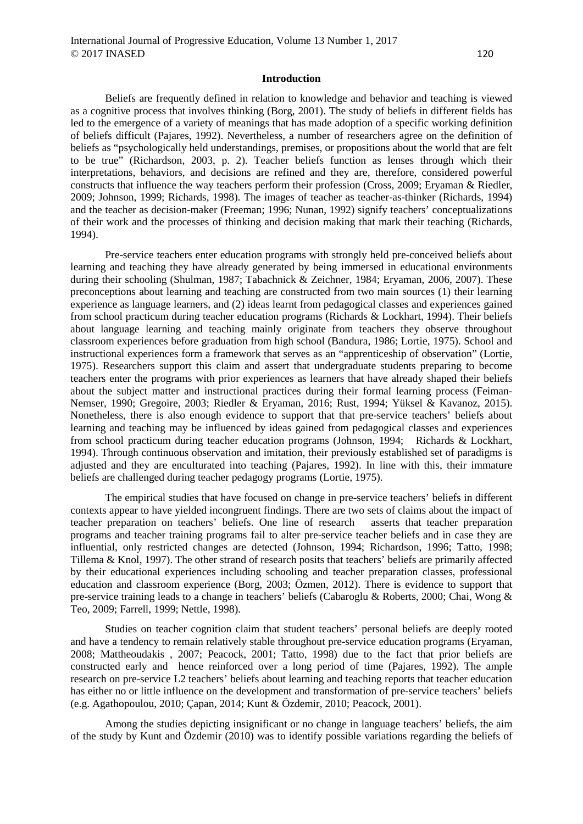#### **Introduction**

Beliefs are frequently defined in relation to knowledge and behavior and teaching is viewed as a cognitive process that involves thinking (Borg, 2001). The study of beliefs in different fields has led to the emergence of a variety of meanings that has made adoption of a specific working definition of beliefs difficult (Pajares, 1992). Nevertheless, a number of researchers agree on the definition of beliefs as "psychologically held understandings, premises, or propositions about the world that are felt to be true" (Richardson, 2003, p. 2). Teacher beliefs function as lenses through which their interpretations, behaviors, and decisions are refined and they are, therefore, considered powerful constructs that influence the way teachers perform their profession (Cross, 2009; Eryaman & Riedler, 2009; Johnson, 1999; Richards, 1998). The images of teacher as teacher-as-thinker (Richards, 1994) and the teacher as decision-maker (Freeman; 1996; Nunan, 1992) signify teachers' conceptualizations of their work and the processes of thinking and decision making that mark their teaching (Richards, 1994).

Pre-service teachers enter education programs with strongly held pre-conceived beliefs about learning and teaching they have already generated by being immersed in educational environments during their schooling (Shulman, 1987; Tabachnick & Zeichner, 1984; Eryaman, 2006, 2007). These preconceptions about learning and teaching are constructed from two main sources (1) their learning experience as language learners, and (2) ideas learnt from pedagogical classes and experiences gained from school practicum during teacher education programs (Richards & Lockhart, 1994). Their beliefs about language learning and teaching mainly originate from teachers they observe throughout classroom experiences before graduation from high school (Bandura, 1986; Lortie, 1975). School and instructional experiences form a framework that serves as an "apprenticeship of observation" (Lortie, 1975). Researchers support this claim and assert that undergraduate students preparing to become teachers enter the programs with prior experiences as learners that have already shaped their beliefs about the subject matter and instructional practices during their formal learning process (Feiman-Nemser, 1990; Gregoire, 2003; Riedler & Eryaman, 2016; Rust, 1994; Yüksel & Kavanoz, 2015). Nonetheless, there is also enough evidence to support that that pre-service teachers' beliefs about learning and teaching may be influenced by ideas gained from pedagogical classes and experiences from school practicum during teacher education programs (Johnson, 1994; Richards & Lockhart, 1994). Through continuous observation and imitation, their previously established set of paradigms is adjusted and they are enculturated into teaching (Pajares, 1992). In line with this, their immature beliefs are challenged during teacher pedagogy programs (Lortie, 1975).

The empirical studies that have focused on change in pre-service teachers' beliefs in different contexts appear to have yielded incongruent findings. There are two sets of claims about the impact of teacher preparation on teachers' beliefs. One line of research asserts that teacher preparation programs and teacher training programs fail to alter pre-service teacher beliefs and in case they are influential, only restricted changes are detected (Johnson, 1994; Richardson, 1996; Tatto, 1998; Tillema & Knol, 1997). The other strand of research posits that teachers' beliefs are primarily affected by their educational experiences including schooling and teacher preparation classes, professional education and classroom experience (Borg, 2003; Özmen, 2012). There is evidence to support that pre-service training leads to a change in teachers' beliefs (Cabaroglu & Roberts, 2000; Chai, Wong & Teo, 2009; Farrell, 1999; Nettle, 1998).

Studies on teacher cognition claim that student teachers' personal beliefs are deeply rooted and have a tendency to remain relatively stable throughout pre-service education programs (Eryaman, 2008; Mattheoudakis , 2007; Peacock, 2001; Tatto, 1998) due to the fact that prior beliefs are constructed early and hence reinforced over a long period of time (Pajares, 1992). The ample research on pre-service L2 teachers' beliefs about learning and teaching reports that teacher education has either no or little influence on the development and transformation of pre-service teachers' beliefs (e.g. Agathopoulou, 2010; Çapan, 2014; Kunt & Özdemir, 2010; Peacock, 2001).

Among the studies depicting insignificant or no change in language teachers' beliefs, the aim of the study by Kunt and Özdemir (2010) was to identify possible variations regarding the beliefs of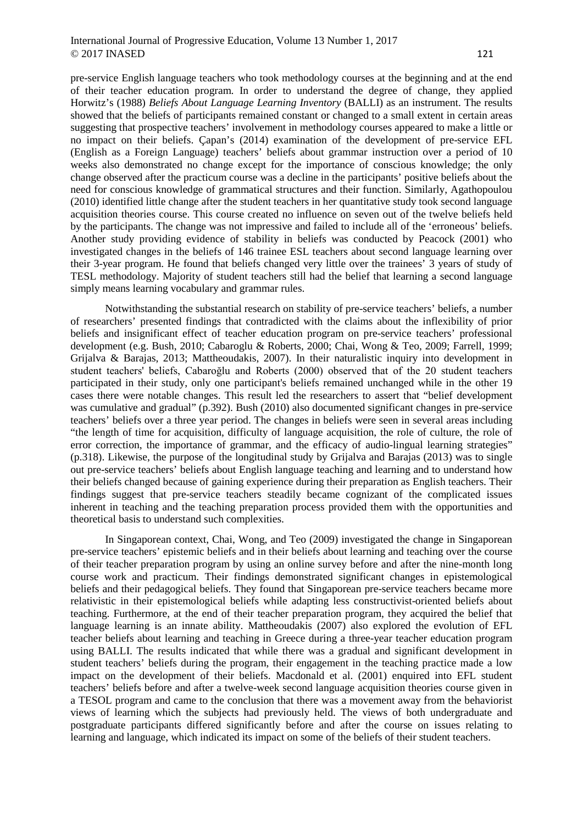#### International Journal of Progressive Education, Volume 13 Number 1, 2017  $\odot$  2017 INASED 121

simply means learning vocabulary and grammar rules.

pre-service English language teachers who took methodology courses at the beginning and at the end of their teacher education program. In order to understand the degree of change, they applied Horwitz's (1988) *Beliefs About Language Learning Inventory* (BALLI) as an instrument. The results showed that the beliefs of participants remained constant or changed to a small extent in certain areas suggesting that prospective teachers' involvement in methodology courses appeared to make a little or no impact on their beliefs. Çapan's (2014) examination of the development of pre-service EFL (English as a Foreign Language) teachers' beliefs about grammar instruction over a period of 10 weeks also demonstrated no change except for the importance of conscious knowledge; the only change observed after the practicum course was a decline in the participants' positive beliefs about the need for conscious knowledge of grammatical structures and their function. Similarly, Agathopoulou (2010) identified little change after the student teachers in her quantitative study took second language acquisition theories course. This course created no influence on seven out of the twelve beliefs held by the participants. The change was not impressive and failed to include all of the 'erroneous' beliefs. Another study providing evidence of stability in beliefs was conducted by Peacock (2001) who investigated changes in the beliefs of 146 trainee ESL teachers about second language learning over their 3-year program. He found that beliefs changed very little over the trainees' 3 years of study of

TESL methodology. Majority of student teachers still had the belief that learning a second language

Notwithstanding the substantial research on stability of pre-service teachers' beliefs, a number of researchers' presented findings that contradicted with the claims about the inflexibility of prior beliefs and insignificant effect of teacher education program on pre-service teachers' professional development (e.g. Bush, 2010; Cabaroglu & Roberts, 2000; Chai, Wong & Teo, 2009; Farrell, 1999; Grijalva & Barajas, 2013; Mattheoudakis, 2007). In their naturalistic inquiry into development in student teachers' beliefs, Cabaroğlu and Roberts (2000) observed that of the 20 student teachers participated in their study, only one participant's beliefs remained unchanged while in the other 19 cases there were notable changes. This result led the researchers to assert that "belief development was cumulative and gradual" (p.392). Bush (2010) also documented significant changes in pre-service teachers' beliefs over a three year period. The changes in beliefs were seen in several areas including "the length of time for acquisition, difficulty of language acquisition, the role of culture, the role of error correction, the importance of grammar, and the efficacy of audio-lingual learning strategies" (p.318). Likewise, the purpose of the longitudinal study by Grijalva and Barajas (2013) was to single out pre-service teachers' beliefs about English language teaching and learning and to understand how their beliefs changed because of gaining experience during their preparation as English teachers. Their findings suggest that pre-service teachers steadily became cognizant of the complicated issues inherent in teaching and the teaching preparation process provided them with the opportunities and theoretical basis to understand such complexities.

In Singaporean context, Chai, Wong, and Teo (2009) investigated the change in Singaporean pre-service teachers' epistemic beliefs and in their beliefs about learning and teaching over the course of their teacher preparation program by using an online survey before and after the nine-month long course work and practicum. Their findings demonstrated significant changes in epistemological beliefs and their pedagogical beliefs. They found that Singaporean pre-service teachers became more relativistic in their epistemological beliefs while adapting less constructivist-oriented beliefs about teaching. Furthermore, at the end of their teacher preparation program, they acquired the belief that language learning is an innate ability. Mattheoudakis (2007) also explored the evolution of EFL teacher beliefs about learning and teaching in Greece during a three-year teacher education program using BALLI. The results indicated that while there was a gradual and significant development in student teachers' beliefs during the program, their engagement in the teaching practice made a low impact on the development of their beliefs. Macdonald et al. (2001) enquired into EFL student teachers' beliefs before and after a twelve-week second language acquisition theories course given in a TESOL program and came to the conclusion that there was a movement away from the behaviorist views of learning which the subjects had previously held. The views of both undergraduate and postgraduate participants differed significantly before and after the course on issues relating to learning and language, which indicated its impact on some of the beliefs of their student teachers.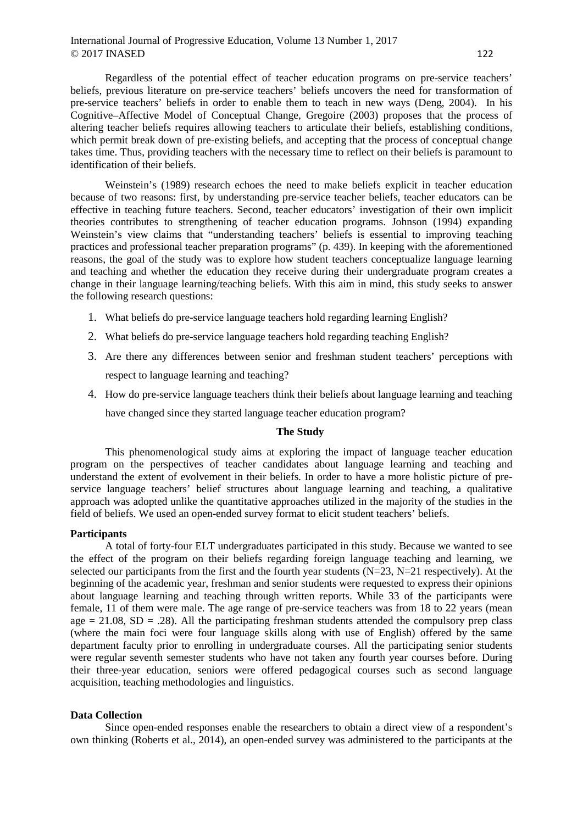## International Journal of Progressive Education, Volume 13 Number 1, 2017  $\odot$  2017 INASED 122

Regardless of the potential effect of teacher education programs on pre-service teachers' beliefs, previous literature on pre-service teachers' beliefs uncovers the need for transformation of pre-service teachers' beliefs in order to enable them to teach in new ways (Deng, 2004). In his Cognitive–Affective Model of Conceptual Change, Gregoire (2003) proposes that the process of altering teacher beliefs requires allowing teachers to articulate their beliefs, establishing conditions, which permit break down of pre-existing beliefs, and accepting that the process of conceptual change takes time. Thus, providing teachers with the necessary time to reflect on their beliefs is paramount to identification of their beliefs.

Weinstein's (1989) research echoes the need to make beliefs explicit in teacher education because of two reasons: first, by understanding pre-service teacher beliefs, teacher educators can be effective in teaching future teachers. Second, teacher educators' investigation of their own implicit theories contributes to strengthening of teacher education programs. Johnson (1994) expanding Weinstein's view claims that "understanding teachers' beliefs is essential to improving teaching practices and professional teacher preparation programs" (p. 439). In keeping with the aforementioned reasons, the goal of the study was to explore how student teachers conceptualize language learning and teaching and whether the education they receive during their undergraduate program creates a change in their language learning/teaching beliefs. With this aim in mind, this study seeks to answer the following research questions:

- 1. What beliefs do pre-service language teachers hold regarding learning English?
- 2. What beliefs do pre-service language teachers hold regarding teaching English?
- 3. Are there any differences between senior and freshman student teachers' perceptions with respect to language learning and teaching?
- 4. How do pre-service language teachers think their beliefs about language learning and teaching have changed since they started language teacher education program?

#### **The Study**

This phenomenological study aims at exploring the impact of language teacher education program on the perspectives of teacher candidates about language learning and teaching and understand the extent of evolvement in their beliefs. In order to have a more holistic picture of preservice language teachers' belief structures about language learning and teaching, a qualitative approach was adopted unlike the quantitative approaches utilized in the majority of the studies in the field of beliefs. We used an open-ended survey format to elicit student teachers' beliefs.

#### **Participants**

A total of forty-four ELT undergraduates participated in this study. Because we wanted to see the effect of the program on their beliefs regarding foreign language teaching and learning, we selected our participants from the first and the fourth year students  $(N=23, N=21$  respectively). At the beginning of the academic year, freshman and senior students were requested to express their opinions about language learning and teaching through written reports. While 33 of the participants were female, 11 of them were male. The age range of pre-service teachers was from 18 to 22 years (mean age  $= 21.08$ ,  $SD = .28$ ). All the participating freshman students attended the compulsory prep class (where the main foci were four language skills along with use of English) offered by the same department faculty prior to enrolling in undergraduate courses. All the participating senior students were regular seventh semester students who have not taken any fourth year courses before. During their three-year education, seniors were offered pedagogical courses such as second language acquisition, teaching methodologies and linguistics.

### **Data Collection**

Since open-ended responses enable the researchers to obtain a direct view of a respondent's own thinking (Roberts et al., 2014), an open-ended survey was administered to the participants at the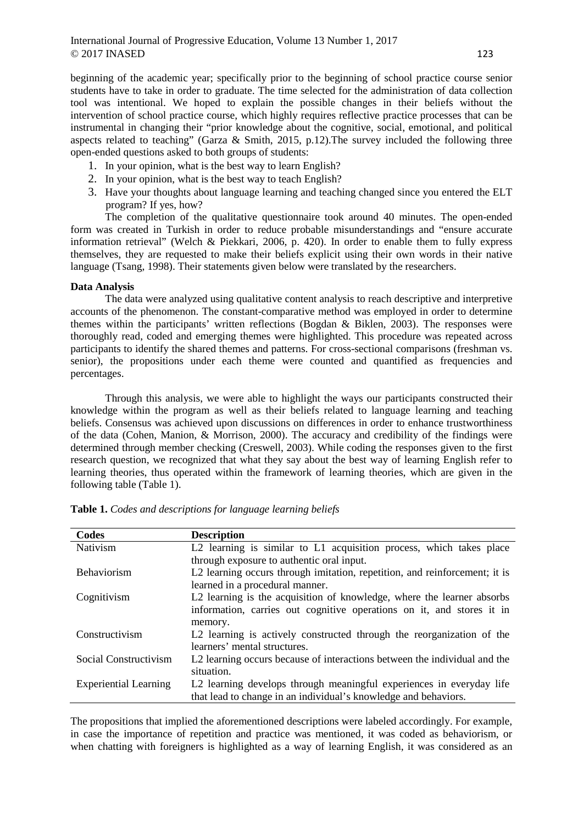beginning of the academic year; specifically prior to the beginning of school practice course senior students have to take in order to graduate. The time selected for the administration of data collection tool was intentional. We hoped to explain the possible changes in their beliefs without the intervention of school practice course, which highly requires reflective practice processes that can be instrumental in changing their "prior knowledge about the cognitive, social, emotional, and political aspects related to teaching" (Garza & Smith, 2015, p.12).The survey included the following three open-ended questions asked to both groups of students:

- 1. In your opinion, what is the best way to learn English?
- 2. In your opinion, what is the best way to teach English?
- 3. Have your thoughts about language learning and teaching changed since you entered the ELT program? If yes, how?

The completion of the qualitative questionnaire took around 40 minutes. The open-ended form was created in Turkish in order to reduce probable misunderstandings and "ensure accurate information retrieval" (Welch & Piekkari, 2006, p. 420). In order to enable them to fully express themselves, they are requested to make their beliefs explicit using their own words in their native language (Tsang, 1998). Their statements given below were translated by the researchers.

#### **Data Analysis**

The data were analyzed using qualitative content analysis to reach descriptive and interpretive accounts of the phenomenon. The constant-comparative method was employed in order to determine themes within the participants' written reflections (Bogdan & Biklen, 2003). The responses were thoroughly read, coded and emerging themes were highlighted. This procedure was repeated across participants to identify the shared themes and patterns. For cross-sectional comparisons (freshman vs. senior), the propositions under each theme were counted and quantified as frequencies and percentages.

Through this analysis, we were able to highlight the ways our participants constructed their knowledge within the program as well as their beliefs related to language learning and teaching beliefs. Consensus was achieved upon discussions on differences in order to enhance trustworthiness of the data (Cohen, Manion, & Morrison, 2000). The accuracy and credibility of the findings were determined through member checking (Creswell, 2003). While coding the responses given to the first research question, we recognized that what they say about the best way of learning English refer to learning theories, thus operated within the framework of learning theories, which are given in the following table (Table 1).

| Codes                        | <b>Description</b>                                                         |
|------------------------------|----------------------------------------------------------------------------|
| Nativism                     | L2 learning is similar to L1 acquisition process, which takes place        |
|                              | through exposure to authentic oral input.                                  |
| <b>Behaviorism</b>           | L2 learning occurs through imitation, repetition, and reinforcement; it is |
|                              | learned in a procedural manner.                                            |
| Cognitivism                  | L2 learning is the acquisition of knowledge, where the learner absorbs     |
|                              | information, carries out cognitive operations on it, and stores it in      |
|                              | memory.                                                                    |
| Constructivism               | L2 learning is actively constructed through the reorganization of the      |
|                              | learners' mental structures.                                               |
| Social Constructivism        | L2 learning occurs because of interactions between the individual and the  |
|                              | situation.                                                                 |
| <b>Experiential Learning</b> | L2 learning develops through meaningful experiences in everyday life       |
|                              | that lead to change in an individual's knowledge and behaviors.            |

**Table 1.** *Codes and descriptions for language learning beliefs*

The propositions that implied the aforementioned descriptions were labeled accordingly. For example, in case the importance of repetition and practice was mentioned, it was coded as behaviorism, or when chatting with foreigners is highlighted as a way of learning English, it was considered as an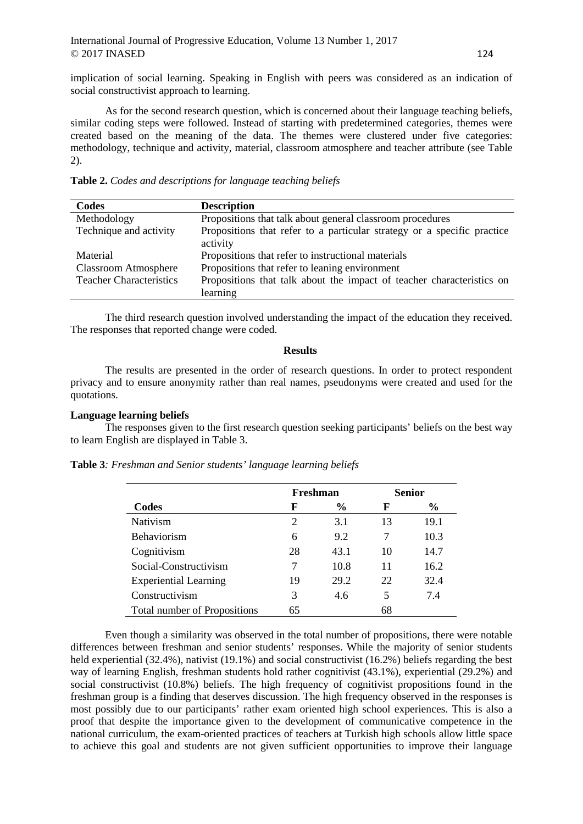implication of social learning. Speaking in English with peers was considered as an indication of social constructivist approach to learning.

As for the second research question, which is concerned about their language teaching beliefs, similar coding steps were followed. Instead of starting with predetermined categories, themes were created based on the meaning of the data. The themes were clustered under five categories: methodology, technique and activity, material, classroom atmosphere and teacher attribute (see Table 2).

|  |  |  |  |  | Table 2. Codes and descriptions for language teaching beliefs |  |  |
|--|--|--|--|--|---------------------------------------------------------------|--|--|
|--|--|--|--|--|---------------------------------------------------------------|--|--|

| Codes                          | <b>Description</b>                                                                  |
|--------------------------------|-------------------------------------------------------------------------------------|
| Methodology                    | Propositions that talk about general classroom procedures                           |
| Technique and activity         | Propositions that refer to a particular strategy or a specific practice<br>activity |
| Material                       | Propositions that refer to instructional materials                                  |
| <b>Classroom Atmosphere</b>    | Propositions that refer to leaning environment                                      |
| <b>Teacher Characteristics</b> | Propositions that talk about the impact of teacher characteristics on               |
|                                | learning                                                                            |

The third research question involved understanding the impact of the education they received. The responses that reported change were coded.

#### **Results**

The results are presented in the order of research questions. In order to protect respondent privacy and to ensure anonymity rather than real names, pseudonyms were created and used for the quotations.

### **Language learning beliefs**

The responses given to the first research question seeking participants' beliefs on the best way to learn English are displayed in Table 3.

| <b>Table 3:</b> Freshman and Senior students' language learning beliefs |  |
|-------------------------------------------------------------------------|--|
|-------------------------------------------------------------------------|--|

|                                     |    | Freshman      |    | <b>Senior</b> |
|-------------------------------------|----|---------------|----|---------------|
| Codes                               | F  | $\frac{6}{9}$ | F  | $\frac{6}{9}$ |
| Nativism                            | 2  | 3.1           | 13 | 19.1          |
| Behaviorism                         | 6  | 9.2           |    | 10.3          |
| Cognitivism                         | 28 | 43.1          | 10 | 14.7          |
| Social-Constructivism               | 7  | 10.8          | 11 | 16.2          |
| <b>Experiential Learning</b>        | 19 | 29.2          | 22 | 32.4          |
| Constructivism                      | 3  | 4.6           | 5  | 7.4           |
| <b>Total number of Propositions</b> | 65 |               | 68 |               |

Even though a similarity was observed in the total number of propositions, there were notable differences between freshman and senior students' responses. While the majority of senior students held experiential (32.4%), nativist (19.1%) and social constructivist (16.2%) beliefs regarding the best way of learning English, freshman students hold rather cognitivist (43.1%), experiential (29.2%) and social constructivist (10.8%) beliefs. The high frequency of cognitivist propositions found in the freshman group is a finding that deserves discussion. The high frequency observed in the responses is most possibly due to our participants' rather exam oriented high school experiences. This is also a proof that despite the importance given to the development of communicative competence in the national curriculum, the exam-oriented practices of teachers at Turkish high schools allow little space to achieve this goal and students are not given sufficient opportunities to improve their language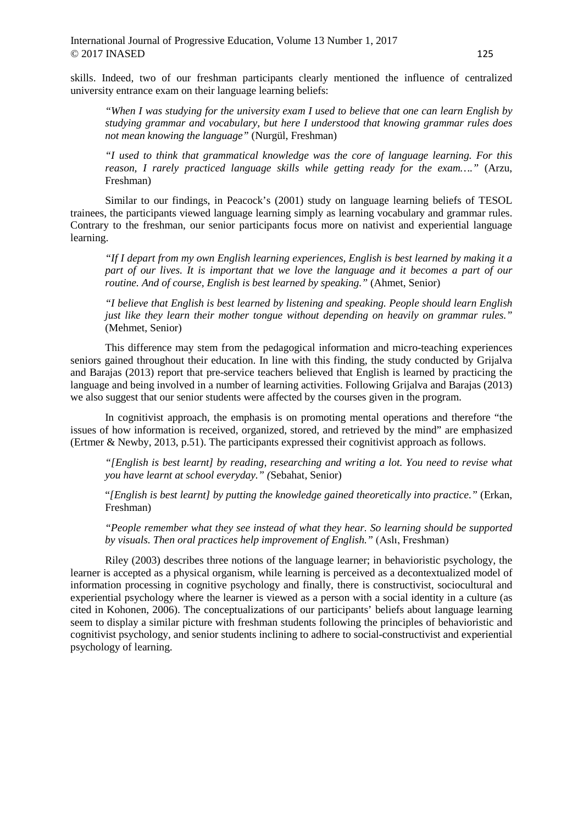skills. Indeed, two of our freshman participants clearly mentioned the influence of centralized university entrance exam on their language learning beliefs:

*"When I was studying for the university exam I used to believe that one can learn English by studying grammar and vocabulary, but here I understood that knowing grammar rules does not mean knowing the language"* (Nurgül, Freshman)

*"I used to think that grammatical knowledge was the core of language learning. For this reason, I rarely practiced language skills while getting ready for the exam…."* (Arzu, Freshman)

Similar to our findings, in Peacock's (2001) study on language learning beliefs of TESOL trainees, the participants viewed language learning simply as learning vocabulary and grammar rules. Contrary to the freshman, our senior participants focus more on nativist and experiential language learning.

*"If I depart from my own English learning experiences, English is best learned by making it a part of our lives. It is important that we love the language and it becomes a part of our routine. And of course, English is best learned by speaking."* (Ahmet, Senior)

*"I believe that English is best learned by listening and speaking. People should learn English just like they learn their mother tongue without depending on heavily on grammar rules."*  (Mehmet, Senior)

This difference may stem from the pedagogical information and micro-teaching experiences seniors gained throughout their education. In line with this finding, the study conducted by Grijalva and Barajas (2013) report that pre-service teachers believed that English is learned by practicing the language and being involved in a number of learning activities. Following Grijalva and Barajas (2013) we also suggest that our senior students were affected by the courses given in the program.

In cognitivist approach, the emphasis is on promoting mental operations and therefore "the issues of how information is received, organized, stored, and retrieved by the mind" are emphasized (Ertmer & Newby, 2013, p.51). The participants expressed their cognitivist approach as follows.

*"[English is best learnt] by reading, researching and writing a lot. You need to revise what you have learnt at school everyday." (*Sebahat, Senior)

"*[English is best learnt] by putting the knowledge gained theoretically into practice."* (Erkan, Freshman)

*"People remember what they see instead of what they hear. So learning should be supported by visuals. Then oral practices help improvement of English."* (Aslı, Freshman)

Riley (2003) describes three notions of the language learner; in behavioristic psychology, the learner is accepted as a physical organism, while learning is perceived as a decontextualized model of information processing in cognitive psychology and finally, there is constructivist, sociocultural and experiential psychology where the learner is viewed as a person with a social identity in a culture (as cited in Kohonen, 2006). The conceptualizations of our participants' beliefs about language learning seem to display a similar picture with freshman students following the principles of behavioristic and cognitivist psychology, and senior students inclining to adhere to social-constructivist and experiential psychology of learning.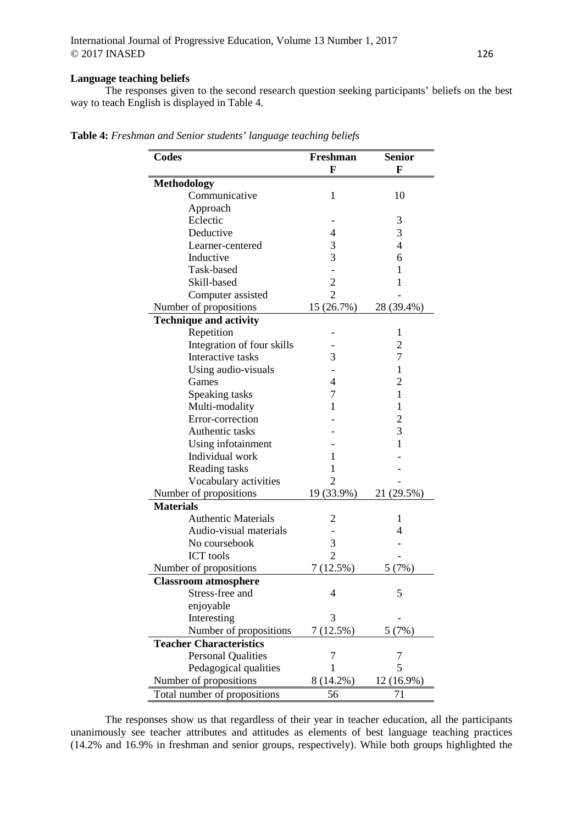## **Language teaching beliefs**

The responses given to the second research question seeking participants' beliefs on the best way to teach English is displayed in Table 4.

| Codes                          | Freshman<br>F  | <b>Senior</b><br>F |
|--------------------------------|----------------|--------------------|
| <b>Methodology</b>             |                |                    |
| Communicative                  | 1              | 10                 |
| Approach                       |                |                    |
| Eclectic                       |                | 3                  |
| Deductive                      | $\overline{4}$ | 3                  |
| Learner-centered               | 3              | $\overline{4}$     |
| Inductive                      | 3              | 6                  |
| Task-based                     |                | 1                  |
| Skill-based                    | $\overline{c}$ | 1                  |
| Computer assisted              | $\overline{2}$ |                    |
| Number of propositions         | 15(26.7%)      | 28 (39.4%)         |
| <b>Technique and activity</b>  |                |                    |
| Repetition                     |                | 1                  |
| Integration of four skills     |                | $\overline{2}$     |
| Interactive tasks              | 3              | 7                  |
| Using audio-visuals            |                | $\mathbf{1}$       |
| Games                          | 4              | $\overline{2}$     |
| Speaking tasks                 | 7              | 1                  |
| Multi-modality                 | 1              | 1                  |
| Error-correction               |                | $\overline{c}$     |
| Authentic tasks                |                | 3                  |
| Using infotainment             |                | $\mathbf{1}$       |
| Individual work                | 1              |                    |
| Reading tasks                  | 1              |                    |
| Vocabulary activities          | 2              |                    |
| Number of propositions         | 19 (33.9%)     | 21 (29.5%)         |
| <b>Materials</b>               |                |                    |
| <b>Authentic Materials</b>     | 2              | 1                  |
| Audio-visual materials         |                | 4                  |
| No coursebook                  | 3              |                    |
| <b>ICT</b> tools               | $\overline{2}$ |                    |
| Number of propositions         | 7 (12.5%)      | (7%)<br>5          |
| <b>Classroom atmosphere</b>    |                |                    |
| Stress-free and                | $\overline{4}$ | 5                  |
| enjoyable                      |                |                    |
| Interesting                    | 3              |                    |
| Number of propositions         | 7(12.5%)       | 5(7%)              |
| <b>Teacher Characteristics</b> |                |                    |
| <b>Personal Qualities</b>      | 7              | 7                  |
| Pedagogical qualities          | 1              | 5                  |
| Number of propositions         | 8 (14.2%)      | $12(16.9\%)$       |
| Total number of propositions   | 56             | 71                 |

**Table 4:** *Freshman and Senior students' language teaching beliefs*

The responses show us that regardless of their year in teacher education, all the participants unanimously see teacher attributes and attitudes as elements of best language teaching practices (14.2% and 16.9% in freshman and senior groups, respectively). While both groups highlighted the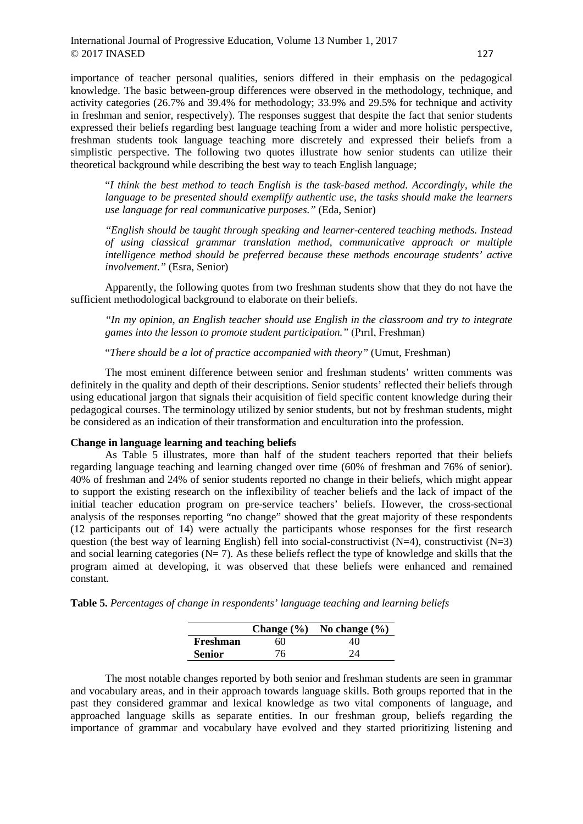International Journal of Progressive Education, Volume 13 Number 1, 2017  $\odot$  2017 INASED 127

importance of teacher personal qualities, seniors differed in their emphasis on the pedagogical knowledge. The basic between-group differences were observed in the methodology, technique, and activity categories (26.7% and 39.4% for methodology; 33.9% and 29.5% for technique and activity in freshman and senior, respectively). The responses suggest that despite the fact that senior students expressed their beliefs regarding best language teaching from a wider and more holistic perspective, freshman students took language teaching more discretely and expressed their beliefs from a simplistic perspective. The following two quotes illustrate how senior students can utilize their theoretical background while describing the best way to teach English language;

"*I think the best method to teach English is the task-based method. Accordingly, while the language to be presented should exemplify authentic use, the tasks should make the learners use language for real communicative purposes."* (Eda, Senior)

*"English should be taught through speaking and learner-centered teaching methods. Instead of using classical grammar translation method, communicative approach or multiple intelligence method should be preferred because these methods encourage students' active involvement."* (Esra, Senior)

Apparently, the following quotes from two freshman students show that they do not have the sufficient methodological background to elaborate on their beliefs.

*"In my opinion, an English teacher should use English in the classroom and try to integrate games into the lesson to promote student participation."* (Pırıl, Freshman)

"*There should be a lot of practice accompanied with theory"* (Umut, Freshman)

The most eminent difference between senior and freshman students' written comments was definitely in the quality and depth of their descriptions. Senior students' reflected their beliefs through using educational jargon that signals their acquisition of field specific content knowledge during their pedagogical courses. The terminology utilized by senior students, but not by freshman students, might be considered as an indication of their transformation and enculturation into the profession.

#### **Change in language learning and teaching beliefs**

As Table 5 illustrates, more than half of the student teachers reported that their beliefs regarding language teaching and learning changed over time (60% of freshman and 76% of senior). 40% of freshman and 24% of senior students reported no change in their beliefs, which might appear to support the existing research on the inflexibility of teacher beliefs and the lack of impact of the initial teacher education program on pre-service teachers' beliefs. However, the cross-sectional analysis of the responses reporting "no change" showed that the great majority of these respondents (12 participants out of 14) were actually the participants whose responses for the first research question (the best way of learning English) fell into social-constructivist  $(N=4)$ , constructivist  $(N=3)$ and social learning categories ( $N= 7$ ). As these beliefs reflect the type of knowledge and skills that the program aimed at developing, it was observed that these beliefs were enhanced and remained constant.

|  |  | Table 5. Percentages of change in respondents' language teaching and learning beliefs |  |  |  |
|--|--|---------------------------------------------------------------------------------------|--|--|--|
|  |  |                                                                                       |  |  |  |

|               |    | Change $(\% )$ No change $(\% )$ |
|---------------|----|----------------------------------|
| Freshman      | 60 | 40                               |
| <b>Senior</b> | 76 | 24                               |

The most notable changes reported by both senior and freshman students are seen in grammar and vocabulary areas, and in their approach towards language skills. Both groups reported that in the past they considered grammar and lexical knowledge as two vital components of language, and approached language skills as separate entities. In our freshman group, beliefs regarding the importance of grammar and vocabulary have evolved and they started prioritizing listening and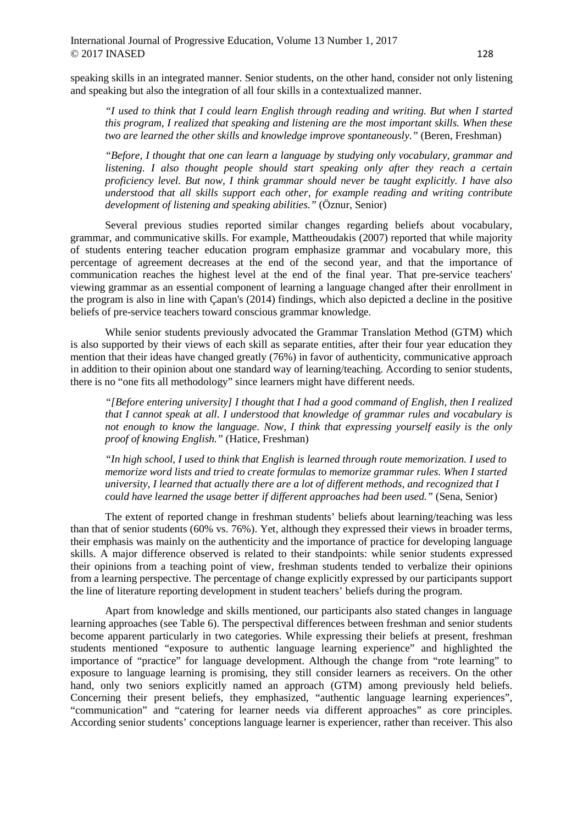speaking skills in an integrated manner. Senior students, on the other hand, consider not only listening and speaking but also the integration of all four skills in a contextualized manner.

*"I used to think that I could learn English through reading and writing. But when I started this program, I realized that speaking and listening are the most important skills. When these two are learned the other skills and knowledge improve spontaneously."* (Beren, Freshman)

*"Before, I thought that one can learn a language by studying only vocabulary, grammar and listening. I also thought people should start speaking only after they reach a certain proficiency level. But now, I think grammar should never be taught explicitly. I have also understood that all skills support each other, for example reading and writing contribute development of listening and speaking abilities."* (Öznur, Senior)

Several previous studies reported similar changes regarding beliefs about vocabulary, grammar, and communicative skills. For example, Mattheoudakis (2007) reported that while majority of students entering teacher education program emphasize grammar and vocabulary more, this percentage of agreement decreases at the end of the second year, and that the importance of communication reaches the highest level at the end of the final year. That pre-service teachers' viewing grammar as an essential component of learning a language changed after their enrollment in the program is also in line with Çapan's (2014) findings, which also depicted a decline in the positive beliefs of pre-service teachers toward conscious grammar knowledge.

While senior students previously advocated the Grammar Translation Method (GTM) which is also supported by their views of each skill as separate entities, after their four year education they mention that their ideas have changed greatly (76%) in favor of authenticity, communicative approach in addition to their opinion about one standard way of learning/teaching. According to senior students, there is no "one fits all methodology" since learners might have different needs.

*"[Before entering university] I thought that I had a good command of English, then I realized that I cannot speak at all. I understood that knowledge of grammar rules and vocabulary is not enough to know the language. Now, I think that expressing yourself easily is the only proof of knowing English."* (Hatice, Freshman)

*"In high school, I used to think that English is learned through route memorization. I used to memorize word lists and tried to create formulas to memorize grammar rules. When I started university, I learned that actually there are a lot of different methods, and recognized that I could have learned the usage better if different approaches had been used."* (Sena, Senior)

The extent of reported change in freshman students' beliefs about learning/teaching was less than that of senior students (60% vs. 76%). Yet, although they expressed their views in broader terms, their emphasis was mainly on the authenticity and the importance of practice for developing language skills. A major difference observed is related to their standpoints: while senior students expressed their opinions from a teaching point of view, freshman students tended to verbalize their opinions from a learning perspective. The percentage of change explicitly expressed by our participants support the line of literature reporting development in student teachers' beliefs during the program.

Apart from knowledge and skills mentioned, our participants also stated changes in language learning approaches (see Table 6). The perspectival differences between freshman and senior students become apparent particularly in two categories. While expressing their beliefs at present, freshman students mentioned "exposure to authentic language learning experience" and highlighted the importance of "practice" for language development. Although the change from "rote learning" to exposure to language learning is promising, they still consider learners as receivers. On the other hand, only two seniors explicitly named an approach (GTM) among previously held beliefs. Concerning their present beliefs, they emphasized, "authentic language learning experiences", "communication" and "catering for learner needs via different approaches" as core principles. According senior students' conceptions language learner is experiencer, rather than receiver. This also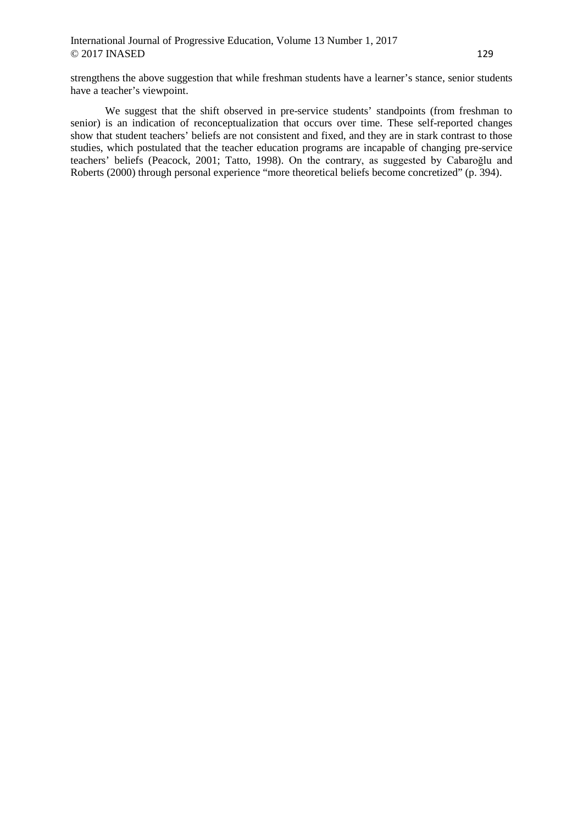strengthens the above suggestion that while freshman students have a learner's stance, senior students have a teacher's viewpoint.

We suggest that the shift observed in pre-service students' standpoints (from freshman to senior) is an indication of reconceptualization that occurs over time. These self-reported changes show that student teachers' beliefs are not consistent and fixed, and they are in stark contrast to those studies, which postulated that the teacher education programs are incapable of changing pre-service teachers' beliefs (Peacock, 2001; Tatto, 1998). On the contrary, as suggested by Cabaroğlu and Roberts (2000) through personal experience "more theoretical beliefs become concretized" (p. 394).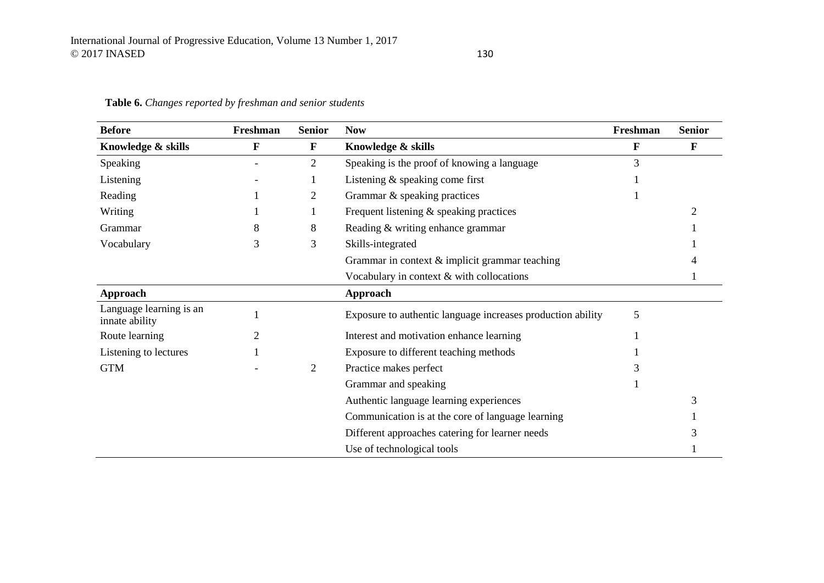| <b>Before</b>                             | Freshman | <b>Senior</b>  | <b>Now</b>                                                  | Freshman    | <b>Senior</b> |
|-------------------------------------------|----------|----------------|-------------------------------------------------------------|-------------|---------------|
| Knowledge & skills                        | F        | F              | Knowledge & skills                                          | $\mathbf F$ | F             |
| Speaking                                  |          | $\overline{2}$ | Speaking is the proof of knowing a language                 | 3           |               |
| Listening                                 |          |                | Listening $&$ speaking come first                           |             |               |
| Reading                                   |          | 2              | Grammar & speaking practices                                |             |               |
| Writing                                   |          |                | Frequent listening $\&$ speaking practices                  |             |               |
| Grammar                                   | 8        | 8              | Reading & writing enhance grammar                           |             |               |
| Vocabulary                                | 3        | 3              | Skills-integrated                                           |             |               |
|                                           |          |                | Grammar in context $&$ implicit grammar teaching            |             |               |
|                                           |          |                | Vocabulary in context & with collocations                   |             |               |
| Approach                                  |          |                | Approach                                                    |             |               |
| Language learning is an<br>innate ability |          |                | Exposure to authentic language increases production ability | 5           |               |
| Route learning                            |          |                | Interest and motivation enhance learning                    |             |               |
| Listening to lectures                     |          |                | Exposure to different teaching methods                      |             |               |
| <b>GTM</b>                                |          | $\overline{2}$ | Practice makes perfect                                      |             |               |
|                                           |          |                | Grammar and speaking                                        |             |               |
|                                           |          |                | Authentic language learning experiences                     |             | 3             |
|                                           |          |                | Communication is at the core of language learning           |             |               |
|                                           |          |                | Different approaches catering for learner needs             |             |               |
|                                           |          |                | Use of technological tools                                  |             |               |

# **Table 6.** *Changes reported by freshman and senior students*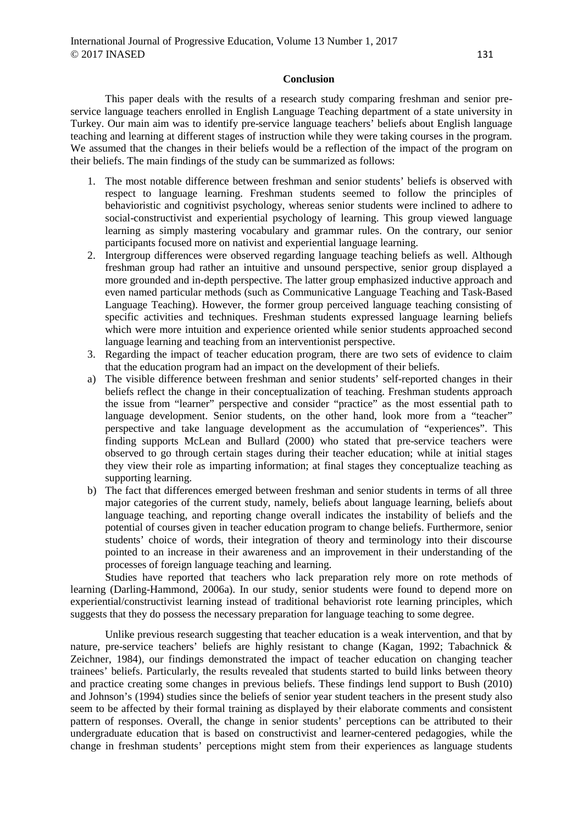## **Conclusion**

This paper deals with the results of a research study comparing freshman and senior preservice language teachers enrolled in English Language Teaching department of a state university in Turkey. Our main aim was to identify pre-service language teachers' beliefs about English language teaching and learning at different stages of instruction while they were taking courses in the program. We assumed that the changes in their beliefs would be a reflection of the impact of the program on their beliefs. The main findings of the study can be summarized as follows:

- 1. The most notable difference between freshman and senior students' beliefs is observed with respect to language learning. Freshman students seemed to follow the principles of behavioristic and cognitivist psychology, whereas senior students were inclined to adhere to social-constructivist and experiential psychology of learning. This group viewed language learning as simply mastering vocabulary and grammar rules. On the contrary, our senior participants focused more on nativist and experiential language learning.
- 2. Intergroup differences were observed regarding language teaching beliefs as well. Although freshman group had rather an intuitive and unsound perspective, senior group displayed a more grounded and in-depth perspective. The latter group emphasized inductive approach and even named particular methods (such as Communicative Language Teaching and Task-Based Language Teaching). However, the former group perceived language teaching consisting of specific activities and techniques. Freshman students expressed language learning beliefs which were more intuition and experience oriented while senior students approached second language learning and teaching from an interventionist perspective.
- 3. Regarding the impact of teacher education program, there are two sets of evidence to claim that the education program had an impact on the development of their beliefs.
- a) The visible difference between freshman and senior students' self-reported changes in their beliefs reflect the change in their conceptualization of teaching. Freshman students approach the issue from "learner" perspective and consider "practice" as the most essential path to language development. Senior students, on the other hand, look more from a "teacher" perspective and take language development as the accumulation of "experiences". This finding supports McLean and Bullard (2000) who stated that pre-service teachers were observed to go through certain stages during their teacher education; while at initial stages they view their role as imparting information; at final stages they conceptualize teaching as supporting learning.
- b) The fact that differences emerged between freshman and senior students in terms of all three major categories of the current study, namely, beliefs about language learning, beliefs about language teaching, and reporting change overall indicates the instability of beliefs and the potential of courses given in teacher education program to change beliefs. Furthermore, senior students' choice of words, their integration of theory and terminology into their discourse pointed to an increase in their awareness and an improvement in their understanding of the processes of foreign language teaching and learning.

Studies have reported that teachers who lack preparation rely more on rote methods of learning (Darling-Hammond, 2006a). In our study, senior students were found to depend more on experiential/constructivist learning instead of traditional behaviorist rote learning principles, which suggests that they do possess the necessary preparation for language teaching to some degree.

Unlike previous research suggesting that teacher education is a weak intervention, and that by nature, pre-service teachers' beliefs are highly resistant to change (Kagan, 1992; Tabachnick & Zeichner, 1984), our findings demonstrated the impact of teacher education on changing teacher trainees' beliefs. Particularly, the results revealed that students started to build links between theory and practice creating some changes in previous beliefs. These findings lend support to Bush (2010) and Johnson's (1994) studies since the beliefs of senior year student teachers in the present study also seem to be affected by their formal training as displayed by their elaborate comments and consistent pattern of responses. Overall, the change in senior students' perceptions can be attributed to their undergraduate education that is based on constructivist and learner-centered pedagogies, while the change in freshman students' perceptions might stem from their experiences as language students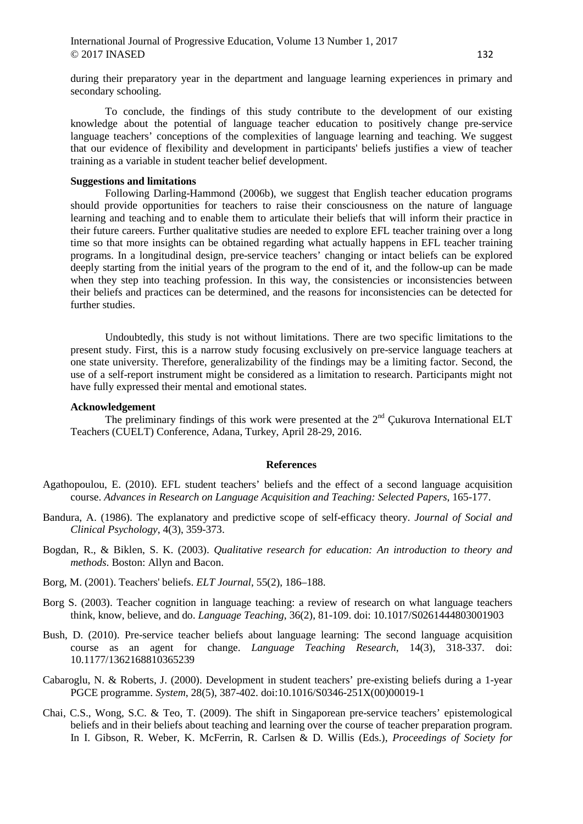during their preparatory year in the department and language learning experiences in primary and secondary schooling.

To conclude, the findings of this study contribute to the development of our existing knowledge about the potential of language teacher education to positively change pre-service language teachers' conceptions of the complexities of language learning and teaching. We suggest that our evidence of flexibility and development in participants' beliefs justifies a view of teacher training as a variable in student teacher belief development.

### **Suggestions and limitations**

Following Darling-Hammond (2006b), we suggest that English teacher education programs should provide opportunities for teachers to raise their consciousness on the nature of language learning and teaching and to enable them to articulate their beliefs that will inform their practice in their future careers. Further qualitative studies are needed to explore EFL teacher training over a long time so that more insights can be obtained regarding what actually happens in EFL teacher training programs. In a longitudinal design, pre-service teachers' changing or intact beliefs can be explored deeply starting from the initial years of the program to the end of it, and the follow-up can be made when they step into teaching profession. In this way, the consistencies or inconsistencies between their beliefs and practices can be determined, and the reasons for inconsistencies can be detected for further studies.

Undoubtedly, this study is not without limitations. There are two specific limitations to the present study. First, this is a narrow study focusing exclusively on pre-service language teachers at one state university. Therefore, generalizability of the findings may be a limiting factor. Second, the use of a self-report instrument might be considered as a limitation to research. Participants might not have fully expressed their mental and emotional states.

#### **Acknowledgement**

The preliminary findings of this work were presented at the  $2<sup>nd</sup>$  Cukurova International ELT Teachers (CUELT) Conference, Adana, Turkey, April 28-29, 2016.

#### **References**

- Agathopoulou, E. (2010). EFL student teachers' beliefs and the effect of a second language acquisition course. *Advances in Research on Language Acquisition and Teaching: Selected Papers*, 165-177.
- Bandura, A. (1986). The explanatory and predictive scope of self-efficacy theory. *Journal of Social and Clinical Psychology*, 4(3), 359-373.
- Bogdan, R., & Biklen, S. K. (2003). *Qualitative research for education: An introduction to theory and methods*. Boston: Allyn and Bacon.
- Borg, M. (2001). Teachers' beliefs. *ELT Journal*, 55(2), 186–188.
- Borg S. (2003). Teacher cognition in language teaching: a review of research on what language teachers think, know, believe, and do. *Language Teaching*, 36(2), 81-109. doi: 10.1017/S0261444803001903
- Bush, D. (2010). Pre-service teacher beliefs about language learning: The second language acquisition course as an agent for change. *Language Teaching Research*, 14(3), 318-337. doi: 10.1177/1362168810365239
- Cabaroglu, N. & Roberts, J. (2000). Development in student teachers' pre-existing beliefs during a 1-year PGCE programme. *System*, 28(5), 387-402. doi:10.1016/S0346-251X(00)00019-1
- Chai, C.S., Wong, S.C. & Teo, T. (2009). The shift in Singaporean pre-service teachers' epistemological beliefs and in their beliefs about teaching and learning over the course of teacher preparation program. In I. Gibson, R. Weber, K. McFerrin, R. Carlsen & D. Willis (Eds.), *Proceedings of Society for*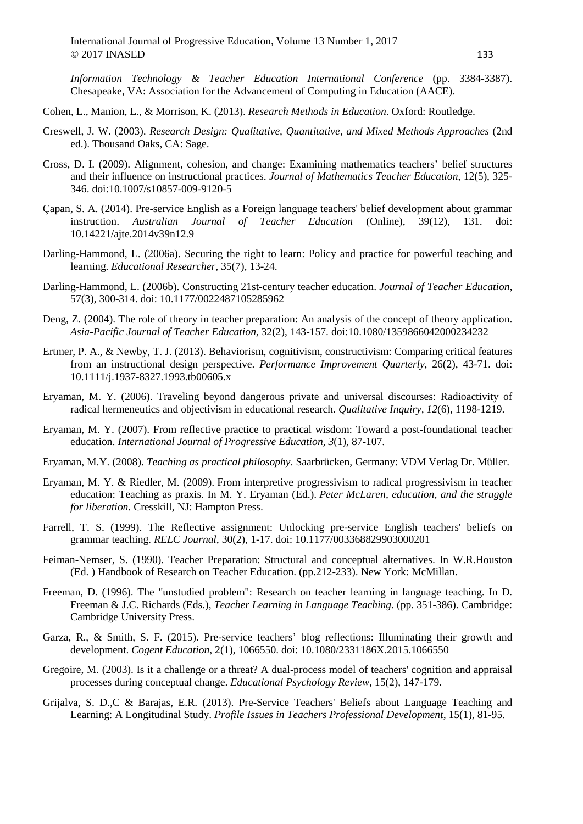*Information Technology & Teacher Education International Conference* (pp. 3384-3387). Chesapeake, VA: Association for the Advancement of Computing in Education (AACE).

Cohen, L., Manion, L., & Morrison, K. (2013). *Research Methods in Education*. Oxford: Routledge.

- Creswell, J. W. (2003). *Research Design: Qualitative, Quantitative, and Mixed Methods Approaches* (2nd ed.). Thousand Oaks, CA: Sage.
- Cross, D. I. (2009). Alignment, cohesion, and change: Examining mathematics teachers' belief structures and their influence on instructional practices. *Journal of Mathematics Teacher Education*, 12(5), 325- 346. doi:10.1007/s10857-009-9120-5
- Çapan, S. A. (2014). Pre-service English as a Foreign language teachers' belief development about grammar instruction. *Australian Journal of Teacher Education* (Online), 39(12), 131. doi: 10.14221/ajte.2014v39n12.9
- Darling-Hammond, L. (2006a). Securing the right to learn: Policy and practice for powerful teaching and learning. *Educational Researcher*, 35(7), 13-24.
- Darling-Hammond, L. (2006b). Constructing 21st-century teacher education. *Journal of Teacher Education*, 57(3), 300-314. doi: 10.1177/0022487105285962
- Deng, Z. (2004). The role of theory in teacher preparation: An analysis of the concept of theory application. *Asia-Pacific Journal of Teacher Education*, 32(2), 143-157. doi:10.1080/1359866042000234232
- Ertmer, P. A., & Newby, T. J. (2013). Behaviorism, cognitivism, constructivism: Comparing critical features from an instructional design perspective. *Performance Improvement Quarterly*, 26(2), 43-71. doi: 10.1111/j.1937-8327.1993.tb00605.x
- Eryaman, M. Y. (2006). Traveling beyond dangerous private and universal discourses: Radioactivity of radical hermeneutics and objectivism in educational research. *Qualitative Inquiry, 12*(6), 1198-1219.
- Eryaman, M. Y. (2007). From reflective practice to practical wisdom: Toward a post-foundational teacher education. *International Journal of Progressive Education, 3*(1), 87-107.
- Eryaman, M.Y. (2008). *Teaching as practical philosophy*. Saarbrücken, Germany: VDM Verlag Dr. Müller.
- Eryaman, M. Y. & Riedler, M. (2009). From interpretive progressivism to radical progressivism in teacher education: Teaching as praxis. In M. Y. Eryaman (Ed.). *Peter McLaren, education, and the struggle for liberation*. Cresskill, NJ: Hampton Press.
- Farrell, T. S. (1999). The Reflective assignment: Unlocking pre-service English teachers' beliefs on grammar teaching. *RELC Journal*, 30(2), 1-17. doi: 10.1177/003368829903000201
- Feiman-Nemser, S. (1990). Teacher Preparation: Structural and conceptual alternatives. In W.R.Houston (Ed. ) Handbook of Research on Teacher Education. (pp.212-233). New York: McMillan.
- Freeman, D. (1996). The "unstudied problem": Research on teacher learning in language teaching. In D. Freeman & J.C. Richards (Eds.), *Teacher Learning in Language Teaching*. (pp. 351-386). Cambridge: Cambridge University Press.
- Garza, R., & Smith, S. F. (2015). Pre-service teachers' blog reflections: Illuminating their growth and development. *Cogent Education*, 2(1), 1066550. doi: 10.1080/2331186X.2015.1066550
- Gregoire, M. (2003). Is it a challenge or a threat? A dual-process model of teachers' cognition and appraisal processes during conceptual change. *Educational Psychology Review*, 15(2), 147-179.
- Grijalva, S. D.,C & Barajas, E.R. (2013). Pre-Service Teachers' Beliefs about Language Teaching and Learning: A Longitudinal Study. *Profile Issues in Teachers Professional Development*, 15(1), 81-95.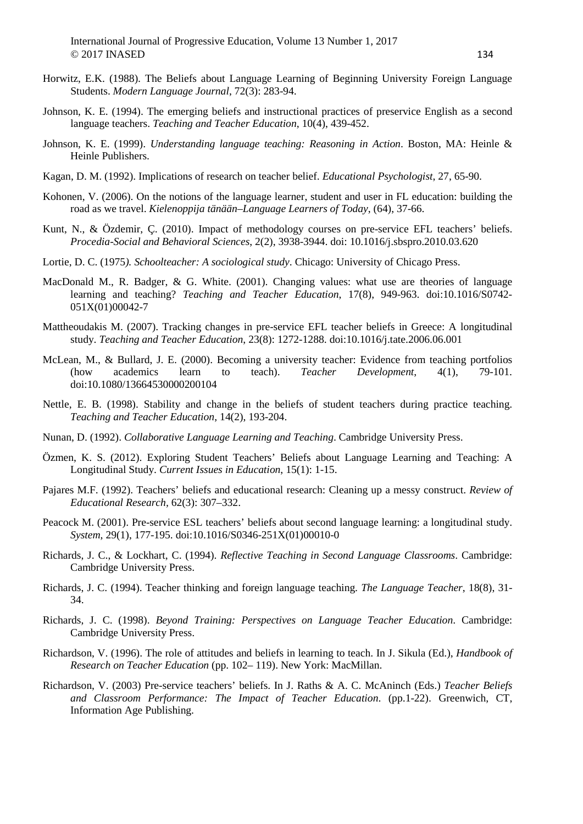- Horwitz, E.K. (1988). The Beliefs about Language Learning of Beginning University Foreign Language Students. *Modern Language Journal*, 72(3): 283-94.
- Johnson, K. E. (1994). The emerging beliefs and instructional practices of preservice English as a second language teachers. *Teaching and Teacher Education*, 10(4), 439-452.
- Johnson, K. E. (1999). *Understanding language teaching: Reasoning in Action*. Boston, MA: Heinle & Heinle Publishers.
- Kagan, D. M. (1992). Implications of research on teacher belief. *Educational Psychologist*, 27, 65-90.
- Kohonen, V. (2006). On the notions of the language learner, student and user in FL education: building the road as we travel. *Kielenoppija tänään–Language Learners of Today*, (64), 37-66.
- Kunt, N., & Özdemir, Ç. (2010). Impact of methodology courses on pre-service EFL teachers' beliefs. *Procedia-Social and Behavioral Sciences*, 2(2), 3938-3944. doi: 10.1016/j.sbspro.2010.03.620
- Lortie, D. C. (1975*). Schoolteacher: A sociological study*. Chicago: University of Chicago Press.
- MacDonald M., R. Badger, & G. White. (2001). Changing values: what use are theories of language learning and teaching? *Teaching and Teacher Education*, 17(8), 949-963. doi:10.1016/S0742- 051X(01)00042-7
- Mattheoudakis M. (2007). Tracking changes in pre-service EFL teacher beliefs in Greece: A longitudinal study. *Teaching and Teacher Education*, 23(8): 1272-1288. doi:10.1016/j.tate.2006.06.001
- McLean, M., & Bullard, J. E. (2000). Becoming a university teacher: Evidence from teaching portfolios (how academics learn to teach). *Teacher Development*, 4(1), 79-101. doi:10.1080/13664530000200104
- Nettle, E. B. (1998). Stability and change in the beliefs of student teachers during practice teaching. *Teaching and Teacher Education*, 14(2), 193-204.
- Nunan, D. (1992). *Collaborative Language Learning and Teaching*. Cambridge University Press.
- Özmen, K. S. (2012). Exploring Student Teachers' Beliefs about Language Learning and Teaching: A Longitudinal Study. *Current Issues in Education*, 15(1): 1-15.
- Pajares M.F. (1992). Teachers' beliefs and educational research: Cleaning up a messy construct. *Review of Educational Research,* 62(3): 307–332.
- Peacock M. (2001). Pre-service ESL teachers' beliefs about second language learning: a longitudinal study. *System*, 29(1), 177-195. doi:10.1016/S0346-251X(01)00010-0
- Richards, J. C., & Lockhart, C. (1994). *Reflective Teaching in Second Language Classrooms*. Cambridge: Cambridge University Press.
- Richards, J. C. (1994). Teacher thinking and foreign language teaching. *The Language Teacher*, 18(8), 31- 34.
- Richards, J. C. (1998). *Beyond Training: Perspectives on Language Teacher Education*. Cambridge: Cambridge University Press.
- Richardson, V. (1996). The role of attitudes and beliefs in learning to teach. In J. Sikula (Ed.), *Handbook of Research on Teacher Education* (pp. 102– 119). New York: MacMillan.
- Richardson, V. (2003) Pre-service teachers' beliefs. In J. Raths & A. C. McAninch (Eds.) *Teacher Beliefs and Classroom Performance: The Impact of Teacher Education*. (pp.1-22). Greenwich, CT, Information Age Publishing.